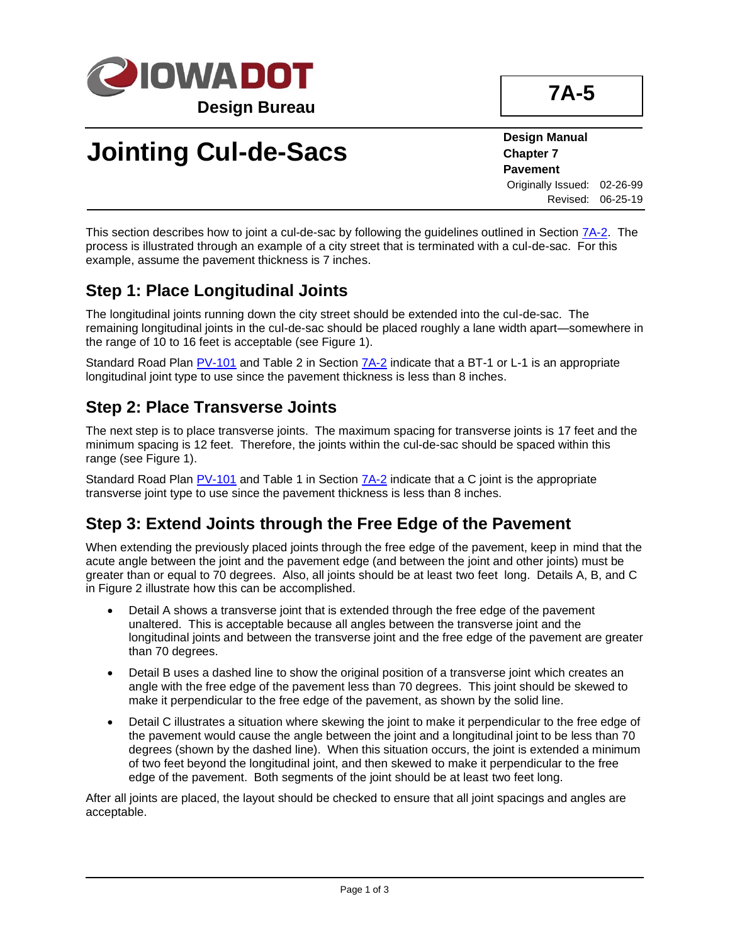

## **Jointing Cul-de-Sacs**

**Design Manual Chapter 7 Pavement** Originally Issued: 02-26-99 Revised: 06-25-19

This section describes how to joint a cul-de-sac by following the guidelines outlined in Section  $7A-2$ . The process is illustrated through an example of a city street that is terminated with a cul-de-sac. For this example, assume the pavement thickness is 7 inches.

#### **Step 1: Place Longitudinal Joints**

The longitudinal joints running down the city street should be extended into the cul-de-sac. The remaining longitudinal joints in the cul-de-sac should be placed roughly a lane width apart—somewhere in the range of 10 to 16 feet is acceptable (see Figure 1).

Standard Road Plan [PV-101](../SRP/IndividualStandards/pv101.pdf) and Table 2 in Section [7A-2](07a-02.pdf) indicate that a BT-1 or L-1 is an appropriate longitudinal joint type to use since the pavement thickness is less than 8 inches.

#### **Step 2: Place Transverse Joints**

The next step is to place transverse joints. The maximum spacing for transverse joints is 17 feet and the minimum spacing is 12 feet. Therefore, the joints within the cul-de-sac should be spaced within this range (see Figure 1).

Standard Road Plan [PV-101](../SRP/IndividualStandards/pv101.pdf) and Table 1 in Section  $7A-2$  indicate that a C joint is the appropriate transverse joint type to use since the pavement thickness is less than 8 inches.

#### **Step 3: Extend Joints through the Free Edge of the Pavement**

When extending the previously placed joints through the free edge of the pavement, keep in mind that the acute angle between the joint and the pavement edge (and between the joint and other joints) must be greater than or equal to 70 degrees. Also, all joints should be at least two feet long. Details A, B, and C in Figure 2 illustrate how this can be accomplished.

- Detail A shows a transverse joint that is extended through the free edge of the pavement unaltered. This is acceptable because all angles between the transverse joint and the longitudinal joints and between the transverse joint and the free edge of the pavement are greater than 70 degrees.
- Detail B uses a dashed line to show the original position of a transverse joint which creates an angle with the free edge of the pavement less than 70 degrees. This joint should be skewed to make it perpendicular to the free edge of the pavement, as shown by the solid line.
- Detail C illustrates a situation where skewing the joint to make it perpendicular to the free edge of the pavement would cause the angle between the joint and a longitudinal joint to be less than 70 degrees (shown by the dashed line). When this situation occurs, the joint is extended a minimum of two feet beyond the longitudinal joint, and then skewed to make it perpendicular to the free edge of the pavement. Both segments of the joint should be at least two feet long.

After all joints are placed, the layout should be checked to ensure that all joint spacings and angles are acceptable.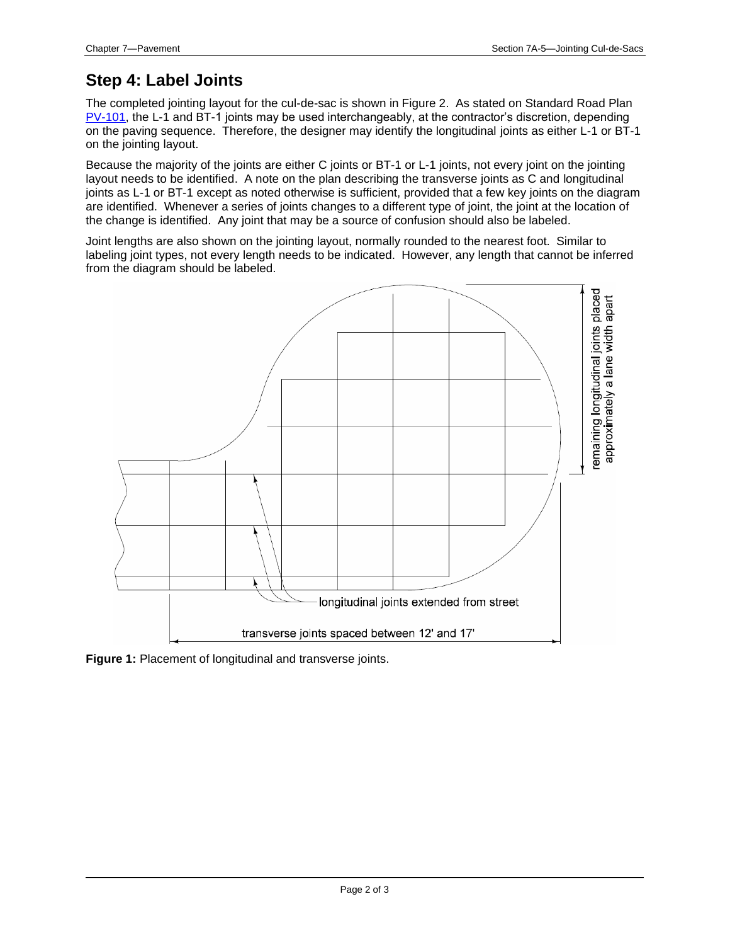#### **Step 4: Label Joints**

The completed jointing layout for the cul-de-sac is shown in Figure 2. As stated on Standard Road Plan [PV-101,](../SRP/IndividualStandards/pv101.pdf) the L-1 and BT-1 joints may be used interchangeably, at the contractor's discretion, depending on the paving sequence. Therefore, the designer may identify the longitudinal joints as either L-1 or BT-1 on the jointing layout.

Because the majority of the joints are either C joints or BT-1 or L-1 joints, not every joint on the jointing layout needs to be identified. A note on the plan describing the transverse joints as C and longitudinal joints as L-1 or BT-1 except as noted otherwise is sufficient, provided that a few key joints on the diagram are identified. Whenever a series of joints changes to a different type of joint, the joint at the location of the change is identified. Any joint that may be a source of confusion should also be labeled.

Joint lengths are also shown on the jointing layout, normally rounded to the nearest foot. Similar to labeling joint types, not every length needs to be indicated. However, any length that cannot be inferred from the diagram should be labeled.



**Figure 1:** Placement of longitudinal and transverse joints.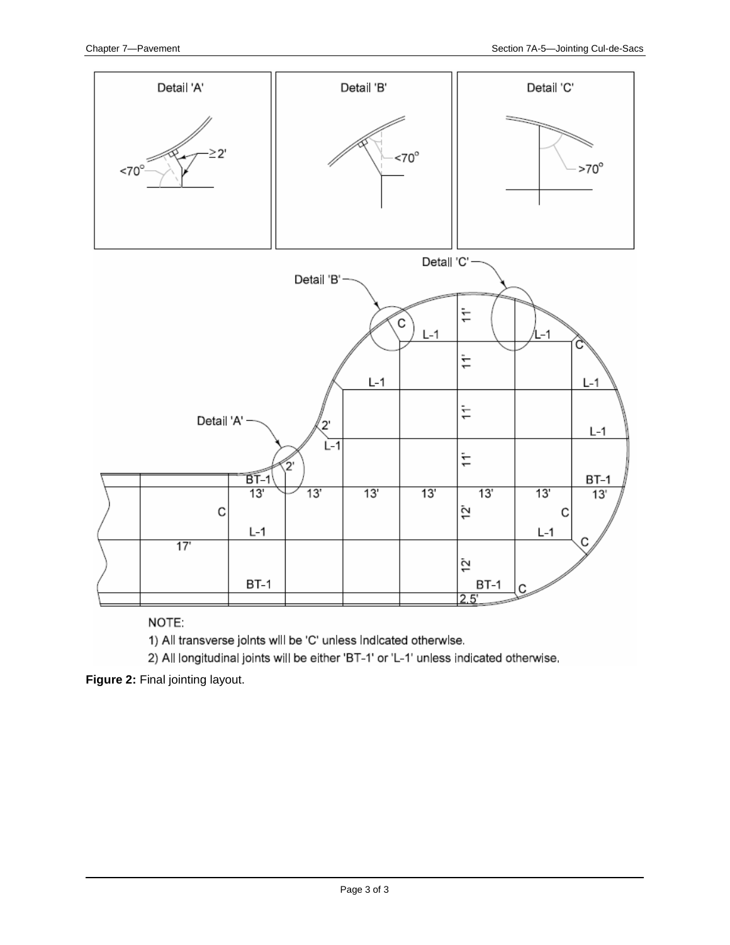

NOTE:

1) All transverse joints will be 'C' unless indicated otherwise.

2) All longitudinal joints will be either 'BT-1' or 'L-1' unless indicated otherwise.

**Figure 2:** Final jointing layout.